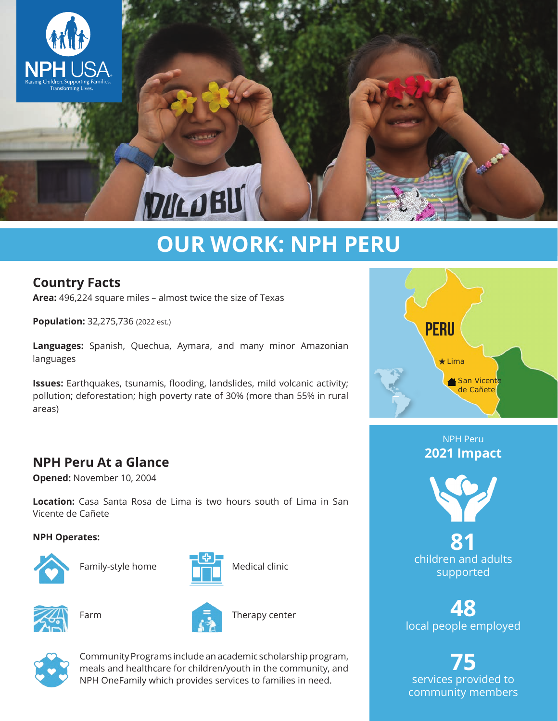

# **OUR WORK: NPH PERU**

# **Country Facts**

**Area:** 496,224 square miles – almost twice the size of Texas

**Population:** 32,275,736 (2022 est.)

**Languages:** Spanish, Quechua, Aymara, and many minor Amazonian languages

**Issues:** Earthquakes, tsunamis, flooding, landslides, mild volcanic activity; pollution; deforestation; high poverty rate of 30% (more than 55% in rural areas)

# **NPH Peru At a Glance**

**Opened:** November 10, 2004

**Location:** Casa Santa Rosa de Lima is two hours south of Lima in San Vicente de Cañete

#### **NPH Operates:**



Family-style home





Farm



Therapy center



Community Programs include an academic scholarship program, meals and healthcare for children/youth in the community, and NPH OneFamily which provides services to families in need.



## NPH Peru **2021 Impact**



**81** children and adults supported

**48** local people employed

**75** services provided to community members